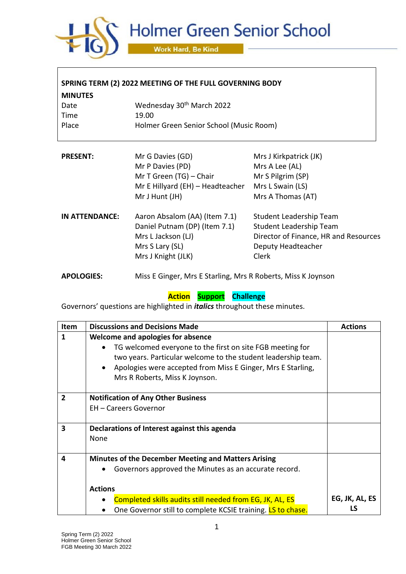

| SPRING TERM (2) 2022 MEETING OF THE FULL GOVERNING BODY |                                                              |                                       |  |  |  |
|---------------------------------------------------------|--------------------------------------------------------------|---------------------------------------|--|--|--|
| <b>MINUTES</b>                                          |                                                              |                                       |  |  |  |
| Date                                                    | Wednesday 30 <sup>th</sup> March 2022                        |                                       |  |  |  |
| Time                                                    | 19.00                                                        |                                       |  |  |  |
| Place                                                   | Holmer Green Senior School (Music Room)                      |                                       |  |  |  |
|                                                         |                                                              |                                       |  |  |  |
| <b>PRESENT:</b>                                         | Mr G Davies (GD)                                             | Mrs J Kirkpatrick (JK)                |  |  |  |
|                                                         | Mr P Davies (PD)                                             | Mrs A Lee (AL)                        |  |  |  |
|                                                         | Mr T Green (TG) - Chair                                      | Mr S Pilgrim (SP)                     |  |  |  |
|                                                         | Mr E Hillyard (EH) - Headteacher                             | Mrs L Swain (LS)                      |  |  |  |
|                                                         | Mr J Hunt (JH)                                               | Mrs A Thomas (AT)                     |  |  |  |
| IN ATTENDANCE:                                          | Aaron Absalom (AA) (Item 7.1)                                | Student Leadership Team               |  |  |  |
|                                                         | Daniel Putnam (DP) (Item 7.1)                                | Student Leadership Team               |  |  |  |
|                                                         | Mrs L Jackson (LJ)                                           | Director of Finance, HR and Resources |  |  |  |
|                                                         | Mrs S Lary (SL)                                              | Deputy Headteacher                    |  |  |  |
|                                                         | Mrs J Knight (JLK)                                           | Clerk                                 |  |  |  |
| <b>APOLOGIES:</b>                                       | Miss E Ginger, Mrs E Starling, Mrs R Roberts, Miss K Joynson |                                       |  |  |  |

## **Action Support Challenge**

Governors' questions are highlighted in *italics* throughout these minutes.

| <b>Item</b>  | <b>Discussions and Decisions Made</b>                                                                                                                                                                                                                                         | <b>Actions</b> |
|--------------|-------------------------------------------------------------------------------------------------------------------------------------------------------------------------------------------------------------------------------------------------------------------------------|----------------|
| $\mathbf{1}$ | Welcome and apologies for absence<br>TG welcomed everyone to the first on site FGB meeting for<br>two years. Particular welcome to the student leadership team.<br>Apologies were accepted from Miss E Ginger, Mrs E Starling,<br>$\bullet$<br>Mrs R Roberts, Miss K Joynson. |                |
| $\mathbf{2}$ | <b>Notification of Any Other Business</b><br><b>EH-Careers Governor</b>                                                                                                                                                                                                       |                |
|              |                                                                                                                                                                                                                                                                               |                |
| 3            | Declarations of Interest against this agenda<br>None                                                                                                                                                                                                                          |                |
| 4            | <b>Minutes of the December Meeting and Matters Arising</b>                                                                                                                                                                                                                    |                |
|              | Governors approved the Minutes as an accurate record.                                                                                                                                                                                                                         |                |
|              | <b>Actions</b>                                                                                                                                                                                                                                                                |                |
|              | Completed skills audits still needed from EG, JK, AL, ES                                                                                                                                                                                                                      | EG, JK, AL, ES |
|              | One Governor still to complete KCSIE training. LS to chase.                                                                                                                                                                                                                   |                |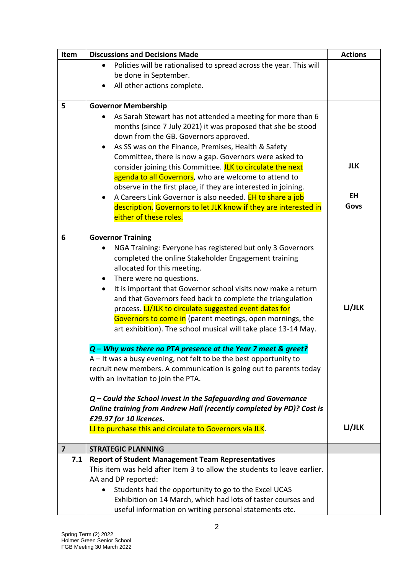| Item           | <b>Discussions and Decisions Made</b>                                                                         | <b>Actions</b> |
|----------------|---------------------------------------------------------------------------------------------------------------|----------------|
|                | Policies will be rationalised to spread across the year. This will                                            |                |
|                | be done in September.                                                                                         |                |
|                | All other actions complete.                                                                                   |                |
|                |                                                                                                               |                |
| 5              | <b>Governor Membership</b>                                                                                    |                |
|                | As Sarah Stewart has not attended a meeting for more than 6                                                   |                |
|                | months (since 7 July 2021) it was proposed that she be stood                                                  |                |
|                | down from the GB. Governors approved.                                                                         |                |
|                | As SS was on the Finance, Premises, Health & Safety<br>Committee, there is now a gap. Governors were asked to |                |
|                | consider joining this Committee. JLK to circulate the next                                                    | <b>JLK</b>     |
|                | agenda to all Governors, who are welcome to attend to                                                         |                |
|                | observe in the first place, if they are interested in joining.                                                |                |
|                | A Careers Link Governor is also needed. EH to share a job                                                     | <b>EH</b>      |
|                | description. Governors to let JLK know if they are interested in                                              | Govs           |
|                | either of these roles.                                                                                        |                |
|                |                                                                                                               |                |
| 6              | <b>Governor Training</b>                                                                                      |                |
|                | NGA Training: Everyone has registered but only 3 Governors                                                    |                |
|                | completed the online Stakeholder Engagement training                                                          |                |
|                | allocated for this meeting.                                                                                   |                |
|                | There were no questions.                                                                                      |                |
|                | It is important that Governor school visits now make a return                                                 |                |
|                | and that Governors feed back to complete the triangulation                                                    |                |
|                | process. LJ/JLK to circulate suggested event dates for                                                        | LJJLK          |
|                | Governors to come in (parent meetings, open mornings, the                                                     |                |
|                | art exhibition). The school musical will take place 13-14 May.                                                |                |
|                | Q - Why was there no PTA presence at the Year 7 meet & greet?                                                 |                |
|                | $A$ – It was a busy evening, not felt to be the best opportunity to                                           |                |
|                | recruit new members. A communication is going out to parents today                                            |                |
|                | with an invitation to join the PTA.                                                                           |                |
|                |                                                                                                               |                |
|                | $Q$ – Could the School invest in the Safeguarding and Governance                                              |                |
|                | Online training from Andrew Hall (recently completed by PD)? Cost is                                          |                |
|                | £29.97 for 10 licences.                                                                                       |                |
|                | LJ to purchase this and circulate to Governors via JLK.                                                       | LJ/JLK         |
| $\overline{7}$ | <b>STRATEGIC PLANNING</b>                                                                                     |                |
| 7.1            | <b>Report of Student Management Team Representatives</b>                                                      |                |
|                | This item was held after Item 3 to allow the students to leave earlier.                                       |                |
|                | AA and DP reported:                                                                                           |                |
|                | Students had the opportunity to go to the Excel UCAS                                                          |                |
|                | Exhibition on 14 March, which had lots of taster courses and                                                  |                |
|                | useful information on writing personal statements etc.                                                        |                |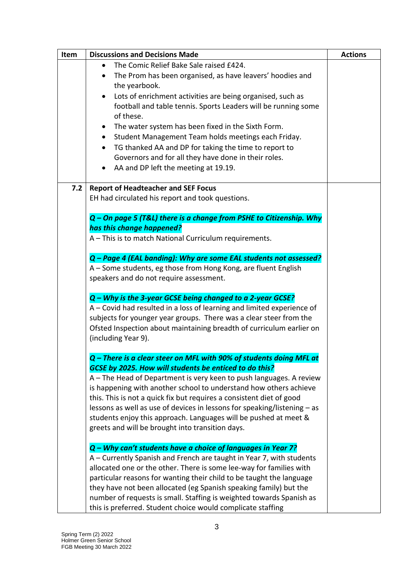| Item | <b>Discussions and Decisions Made</b>                                    | <b>Actions</b> |
|------|--------------------------------------------------------------------------|----------------|
|      | The Comic Relief Bake Sale raised £424.                                  |                |
|      | The Prom has been organised, as have leavers' hoodies and                |                |
|      | the yearbook.                                                            |                |
|      | Lots of enrichment activities are being organised, such as<br>$\bullet$  |                |
|      | football and table tennis. Sports Leaders will be running some           |                |
|      | of these.                                                                |                |
|      | The water system has been fixed in the Sixth Form.                       |                |
|      | Student Management Team holds meetings each Friday.                      |                |
|      | TG thanked AA and DP for taking the time to report to<br>$\bullet$       |                |
|      | Governors and for all they have done in their roles.                     |                |
|      | AA and DP left the meeting at 19.19.                                     |                |
|      |                                                                          |                |
| 7.2  | <b>Report of Headteacher and SEF Focus</b>                               |                |
|      | EH had circulated his report and took questions.                         |                |
|      |                                                                          |                |
|      | Q - On page 5 (T&L) there is a change from PSHE to Citizenship. Why      |                |
|      | has this change happened?                                                |                |
|      | A - This is to match National Curriculum requirements.                   |                |
|      | Q - Page 4 (EAL banding): Why are some EAL students not assessed?        |                |
|      | A - Some students, eg those from Hong Kong, are fluent English           |                |
|      | speakers and do not require assessment.                                  |                |
|      |                                                                          |                |
|      | Q - Why is the 3-year GCSE being changed to a 2-year GCSE?               |                |
|      | A – Covid had resulted in a loss of learning and limited experience of   |                |
|      | subjects for younger year groups. There was a clear steer from the       |                |
|      | Ofsted Inspection about maintaining breadth of curriculum earlier on     |                |
|      | (including Year 9).                                                      |                |
|      | Q - There is a clear steer on MFL with 90% of students doing MFL at      |                |
|      | GCSE by 2025. How will students be enticed to do this?                   |                |
|      | A - The Head of Department is very keen to push languages. A review      |                |
|      | is happening with another school to understand how others achieve        |                |
|      | this. This is not a quick fix but requires a consistent diet of good     |                |
|      | lessons as well as use of devices in lessons for speaking/listening - as |                |
|      | students enjoy this approach. Languages will be pushed at meet &         |                |
|      | greets and will be brought into transition days.                         |                |
|      |                                                                          |                |
|      | Q – Why can't students have a choice of languages in Year 7?             |                |
|      | A - Currently Spanish and French are taught in Year 7, with students     |                |
|      | allocated one or the other. There is some lee-way for families with      |                |
|      | particular reasons for wanting their child to be taught the language     |                |
|      | they have not been allocated (eg Spanish speaking family) but the        |                |
|      | number of requests is small. Staffing is weighted towards Spanish as     |                |
|      | this is preferred. Student choice would complicate staffing              |                |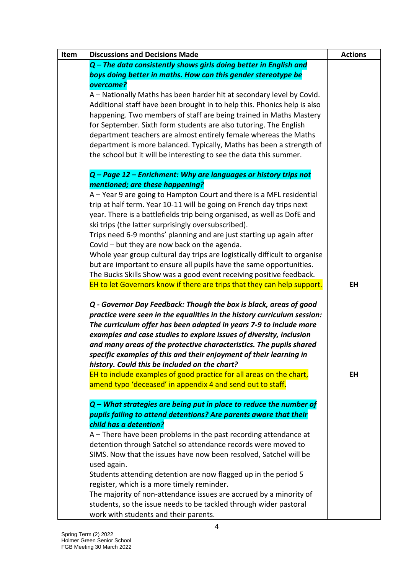| <b>Discussions and Decisions Made</b>                                                                                                                                                                                                                                                                                                                                                                                                                                                   | <b>Actions</b> |
|-----------------------------------------------------------------------------------------------------------------------------------------------------------------------------------------------------------------------------------------------------------------------------------------------------------------------------------------------------------------------------------------------------------------------------------------------------------------------------------------|----------------|
| $Q$ – The data consistently shows girls doing better in English and                                                                                                                                                                                                                                                                                                                                                                                                                     |                |
| boys doing better in maths. How can this gender stereotype be                                                                                                                                                                                                                                                                                                                                                                                                                           |                |
| overcome?                                                                                                                                                                                                                                                                                                                                                                                                                                                                               |                |
| A - Nationally Maths has been harder hit at secondary level by Covid.                                                                                                                                                                                                                                                                                                                                                                                                                   |                |
| Additional staff have been brought in to help this. Phonics help is also                                                                                                                                                                                                                                                                                                                                                                                                                |                |
| happening. Two members of staff are being trained in Maths Mastery                                                                                                                                                                                                                                                                                                                                                                                                                      |                |
| for September. Sixth form students are also tutoring. The English                                                                                                                                                                                                                                                                                                                                                                                                                       |                |
| department teachers are almost entirely female whereas the Maths                                                                                                                                                                                                                                                                                                                                                                                                                        |                |
| department is more balanced. Typically, Maths has been a strength of                                                                                                                                                                                                                                                                                                                                                                                                                    |                |
| the school but it will be interesting to see the data this summer.                                                                                                                                                                                                                                                                                                                                                                                                                      |                |
| Q - Page 12 - Enrichment: Why are languages or history trips not                                                                                                                                                                                                                                                                                                                                                                                                                        |                |
| mentioned; are these happening?                                                                                                                                                                                                                                                                                                                                                                                                                                                         |                |
| A - Year 9 are going to Hampton Court and there is a MFL residential                                                                                                                                                                                                                                                                                                                                                                                                                    |                |
| trip at half term. Year 10-11 will be going on French day trips next                                                                                                                                                                                                                                                                                                                                                                                                                    |                |
| year. There is a battlefields trip being organised, as well as DofE and                                                                                                                                                                                                                                                                                                                                                                                                                 |                |
| ski trips (the latter surprisingly oversubscribed).                                                                                                                                                                                                                                                                                                                                                                                                                                     |                |
| Trips need 6-9 months' planning and are just starting up again after                                                                                                                                                                                                                                                                                                                                                                                                                    |                |
| Covid - but they are now back on the agenda.                                                                                                                                                                                                                                                                                                                                                                                                                                            |                |
| Whole year group cultural day trips are logistically difficult to organise                                                                                                                                                                                                                                                                                                                                                                                                              |                |
| but are important to ensure all pupils have the same opportunities.                                                                                                                                                                                                                                                                                                                                                                                                                     |                |
| The Bucks Skills Show was a good event receiving positive feedback.                                                                                                                                                                                                                                                                                                                                                                                                                     |                |
| EH to let Governors know if there are trips that they can help support.                                                                                                                                                                                                                                                                                                                                                                                                                 | <b>EH</b>      |
| Q - Governor Day Feedback: Though the box is black, areas of good<br>practice were seen in the equalities in the history curriculum session:<br>The curriculum offer has been adapted in years 7-9 to include more<br>examples and case studies to explore issues of diversity, inclusion<br>and many areas of the protective characteristics. The pupils shared<br>specific examples of this and their enjoyment of their learning in<br>history. Could this be included on the chart? |                |
| EH to include examples of good practice for all areas on the chart,                                                                                                                                                                                                                                                                                                                                                                                                                     | EH             |
| amend typo 'deceased' in appendix 4 and send out to staff.                                                                                                                                                                                                                                                                                                                                                                                                                              |                |
| $Q$ – What strategies are being put in place to reduce the number of                                                                                                                                                                                                                                                                                                                                                                                                                    |                |
| pupils failing to attend detentions? Are parents aware that their                                                                                                                                                                                                                                                                                                                                                                                                                       |                |
| child has a detention?                                                                                                                                                                                                                                                                                                                                                                                                                                                                  |                |
| A – There have been problems in the past recording attendance at                                                                                                                                                                                                                                                                                                                                                                                                                        |                |
| detention through Satchel so attendance records were moved to                                                                                                                                                                                                                                                                                                                                                                                                                           |                |
| SIMS. Now that the issues have now been resolved, Satchel will be                                                                                                                                                                                                                                                                                                                                                                                                                       |                |
| used again.                                                                                                                                                                                                                                                                                                                                                                                                                                                                             |                |
| Students attending detention are now flagged up in the period 5                                                                                                                                                                                                                                                                                                                                                                                                                         |                |
| register, which is a more timely reminder.                                                                                                                                                                                                                                                                                                                                                                                                                                              |                |
| The majority of non-attendance issues are accrued by a minority of                                                                                                                                                                                                                                                                                                                                                                                                                      |                |
| students, so the issue needs to be tackled through wider pastoral                                                                                                                                                                                                                                                                                                                                                                                                                       |                |
| work with students and their parents.                                                                                                                                                                                                                                                                                                                                                                                                                                                   |                |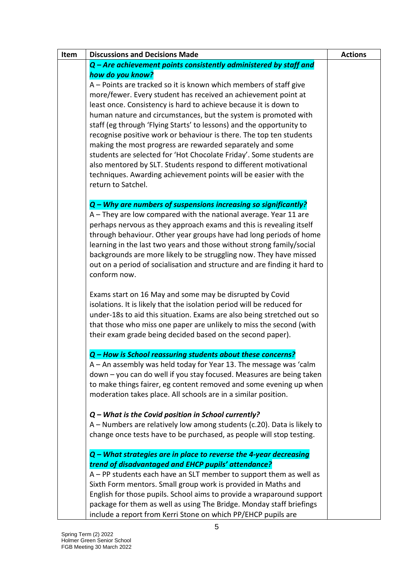| Item | <b>Discussions and Decisions Made</b>                                                                                                           | <b>Actions</b> |
|------|-------------------------------------------------------------------------------------------------------------------------------------------------|----------------|
|      | Q - Are achievement points consistently administered by staff and                                                                               |                |
|      | how do you know?                                                                                                                                |                |
|      | A - Points are tracked so it is known which members of staff give                                                                               |                |
|      | more/fewer. Every student has received an achievement point at                                                                                  |                |
|      | least once. Consistency is hard to achieve because it is down to                                                                                |                |
|      | human nature and circumstances, but the system is promoted with                                                                                 |                |
|      | staff (eg through 'Flying Starts' to lessons) and the opportunity to                                                                            |                |
|      | recognise positive work or behaviour is there. The top ten students                                                                             |                |
|      | making the most progress are rewarded separately and some                                                                                       |                |
|      | students are selected for 'Hot Chocolate Friday'. Some students are                                                                             |                |
|      | also mentored by SLT. Students respond to different motivational                                                                                |                |
|      | techniques. Awarding achievement points will be easier with the                                                                                 |                |
|      | return to Satchel.                                                                                                                              |                |
|      |                                                                                                                                                 |                |
|      | Q - Why are numbers of suspensions increasing so significantly?                                                                                 |                |
|      | A - They are low compared with the national average. Year 11 are                                                                                |                |
|      | perhaps nervous as they approach exams and this is revealing itself                                                                             |                |
|      | through behaviour. Other year groups have had long periods of home                                                                              |                |
|      | learning in the last two years and those without strong family/social                                                                           |                |
|      | backgrounds are more likely to be struggling now. They have missed<br>out on a period of socialisation and structure and are finding it hard to |                |
|      | conform now.                                                                                                                                    |                |
|      |                                                                                                                                                 |                |
|      | Exams start on 16 May and some may be disrupted by Covid                                                                                        |                |
|      | isolations. It is likely that the isolation period will be reduced for                                                                          |                |
|      | under-18s to aid this situation. Exams are also being stretched out so                                                                          |                |
|      | that those who miss one paper are unlikely to miss the second (with                                                                             |                |
|      | their exam grade being decided based on the second paper).                                                                                      |                |
|      | Q – How is School reassurina students about these concerns?                                                                                     |                |
|      | A - An assembly was held today for Year 13. The message was 'calm                                                                               |                |
|      | down - you can do well if you stay focused. Measures are being taken                                                                            |                |
|      | to make things fairer, eg content removed and some evening up when                                                                              |                |
|      | moderation takes place. All schools are in a similar position.                                                                                  |                |
|      |                                                                                                                                                 |                |
|      | $Q$ – What is the Covid position in School currently?                                                                                           |                |
|      | A - Numbers are relatively low among students (c.20). Data is likely to                                                                         |                |
|      | change once tests have to be purchased, as people will stop testing.                                                                            |                |
|      | $Q$ – What strategies are in place to reverse the 4-year decreasing                                                                             |                |
|      | trend of disadvantaged and EHCP pupils' attendance?                                                                                             |                |
|      | A - PP students each have an SLT member to support them as well as                                                                              |                |
|      | Sixth Form mentors. Small group work is provided in Maths and                                                                                   |                |
|      | English for those pupils. School aims to provide a wraparound support                                                                           |                |
|      | package for them as well as using The Bridge. Monday staff briefings                                                                            |                |
|      | include a report from Kerri Stone on which PP/EHCP pupils are                                                                                   |                |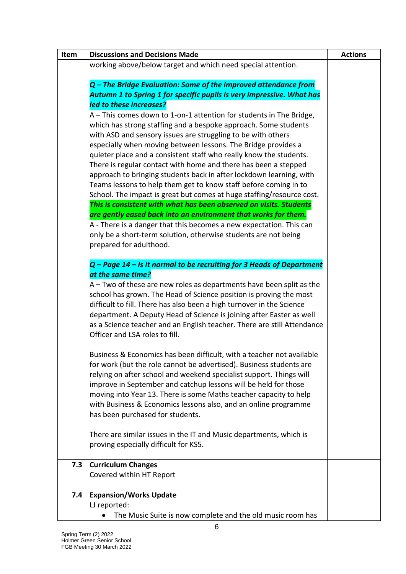| Item                             | <b>Discussions and Decisions Made</b>                                   | <b>Actions</b> |
|----------------------------------|-------------------------------------------------------------------------|----------------|
|                                  | working above/below target and which need special attention.            |                |
|                                  | Q – The Bridge Evaluation: Some of the improved attendance from         |                |
|                                  | Autumn 1 to Spring 1 for specific pupils is very impressive. What has   |                |
|                                  | led to these increases?                                                 |                |
|                                  | A - This comes down to 1-on-1 attention for students in The Bridge,     |                |
|                                  | which has strong staffing and a bespoke approach. Some students         |                |
|                                  | with ASD and sensory issues are struggling to be with others            |                |
|                                  | especially when moving between lessons. The Bridge provides a           |                |
|                                  | quieter place and a consistent staff who really know the students.      |                |
|                                  | There is regular contact with home and there has been a stepped         |                |
|                                  | approach to bringing students back in after lockdown learning, with     |                |
|                                  | Teams lessons to help them get to know staff before coming in to        |                |
|                                  | School. The impact is great but comes at huge staffing/resource cost.   |                |
|                                  | This is consistent with what has been observed on visits. Students      |                |
|                                  | are gently eased back into an environment that works for them.          |                |
|                                  | A - There is a danger that this becomes a new expectation. This can     |                |
|                                  | only be a short-term solution, otherwise students are not being         |                |
|                                  | prepared for adulthood.                                                 |                |
|                                  |                                                                         |                |
|                                  | Q - Page 14 - Is it normal to be recruiting for 3 Heads of Department   |                |
| at the same time?                |                                                                         |                |
|                                  | A - Two of these are new roles as departments have been split as the    |                |
|                                  | school has grown. The Head of Science position is proving the most      |                |
|                                  | difficult to fill. There has also been a high turnover in the Science   |                |
|                                  | department. A Deputy Head of Science is joining after Easter as well    |                |
|                                  | as a Science teacher and an English teacher. There are still Attendance |                |
|                                  | Officer and LSA roles to fill.                                          |                |
|                                  | Business & Economics has been difficult, with a teacher not available   |                |
|                                  | for work (but the role cannot be advertised). Business students are     |                |
|                                  | relying on after school and weekend specialist support. Things will     |                |
|                                  | improve in September and catchup lessons will be held for those         |                |
|                                  | moving into Year 13. There is some Maths teacher capacity to help       |                |
|                                  | with Business & Economics lessons also, and an online programme         |                |
|                                  | has been purchased for students.                                        |                |
|                                  | There are similar issues in the IT and Music departments, which is      |                |
|                                  | proving especially difficult for KS5.                                   |                |
|                                  |                                                                         |                |
| <b>Curriculum Changes</b><br>7.3 |                                                                         |                |
|                                  | Covered within HT Report                                                |                |
| 7.4                              | <b>Expansion/Works Update</b>                                           |                |
| LJ reported:                     |                                                                         |                |
|                                  | The Music Suite is now complete and the old music room has              |                |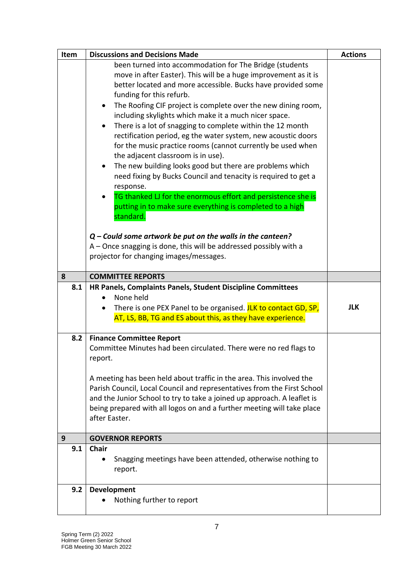| Item | <b>Discussions and Decisions Made</b>                                   | <b>Actions</b> |
|------|-------------------------------------------------------------------------|----------------|
|      | been turned into accommodation for The Bridge (students                 |                |
|      | move in after Easter). This will be a huge improvement as it is         |                |
|      | better located and more accessible. Bucks have provided some            |                |
|      | funding for this refurb.                                                |                |
|      | The Roofing CIF project is complete over the new dining room,           |                |
|      | including skylights which make it a much nicer space.                   |                |
|      | There is a lot of snagging to complete within the 12 month<br>$\bullet$ |                |
|      | rectification period, eg the water system, new acoustic doors           |                |
|      | for the music practice rooms (cannot currently be used when             |                |
|      | the adjacent classroom is in use).                                      |                |
|      | The new building looks good but there are problems which<br>$\bullet$   |                |
|      | need fixing by Bucks Council and tenacity is required to get a          |                |
|      | response.                                                               |                |
|      | TG thanked LJ for the enormous effort and persistence she is            |                |
|      | putting in to make sure everything is completed to a high               |                |
|      | standard.                                                               |                |
|      |                                                                         |                |
|      | $Q$ – Could some artwork be put on the walls in the canteen?            |                |
|      | A – Once snagging is done, this will be addressed possibly with a       |                |
|      | projector for changing images/messages.                                 |                |
|      |                                                                         |                |
| 8    | <b>COMMITTEE REPORTS</b>                                                |                |
| 8.1  | HR Panels, Complaints Panels, Student Discipline Committees             |                |
|      | None held                                                               |                |
|      | There is one PEX Panel to be organised. JLK to contact GD, SP,          | <b>JLK</b>     |
|      | AT, LS, BB, TG and ES about this, as they have experience.              |                |
| 8.2  | <b>Finance Committee Report</b>                                         |                |
|      | Committee Minutes had been circulated. There were no red flags to       |                |
|      | report.                                                                 |                |
|      |                                                                         |                |
|      | A meeting has been held about traffic in the area. This involved the    |                |
|      | Parish Council, Local Council and representatives from the First School |                |
|      | and the Junior School to try to take a joined up approach. A leaflet is |                |
|      | being prepared with all logos on and a further meeting will take place  |                |
|      | after Easter.                                                           |                |
|      |                                                                         |                |
| 9    | <b>GOVERNOR REPORTS</b>                                                 |                |
| 9.1  | <b>Chair</b>                                                            |                |
|      | Snagging meetings have been attended, otherwise nothing to              |                |
|      | report.                                                                 |                |
|      |                                                                         |                |
| 9.2  | Development                                                             |                |
|      | Nothing further to report                                               |                |
|      |                                                                         |                |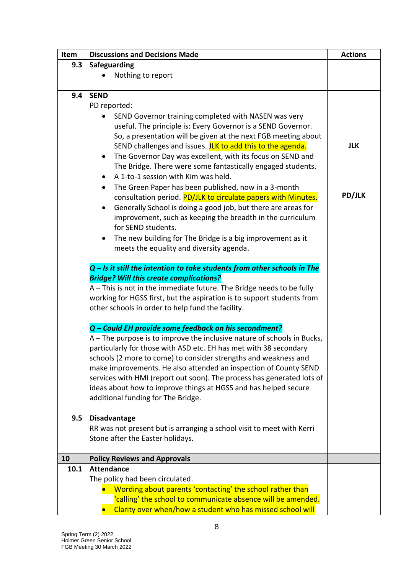| Item | <b>Discussions and Decisions Made</b>                                      | <b>Actions</b> |
|------|----------------------------------------------------------------------------|----------------|
| 9.3  | Safeguarding                                                               |                |
|      | Nothing to report                                                          |                |
|      |                                                                            |                |
| 9.4  | <b>SEND</b>                                                                |                |
|      | PD reported:                                                               |                |
|      | SEND Governor training completed with NASEN was very                       |                |
|      | useful. The principle is: Every Governor is a SEND Governor.               |                |
|      | So, a presentation will be given at the next FGB meeting about             |                |
|      | SEND challenges and issues. JLK to add this to the agenda.                 | <b>JLK</b>     |
|      | The Governor Day was excellent, with its focus on SEND and<br>٠            |                |
|      | The Bridge. There were some fantastically engaged students.                |                |
|      | A 1-to-1 session with Kim was held.                                        |                |
|      | The Green Paper has been published, now in a 3-month<br>$\bullet$          |                |
|      | consultation period. PD/JLK to circulate papers with Minutes.              | <b>PD/JLK</b>  |
|      | Generally School is doing a good job, but there are areas for<br>$\bullet$ |                |
|      | improvement, such as keeping the breadth in the curriculum                 |                |
|      | for SEND students.                                                         |                |
|      |                                                                            |                |
|      | The new building for The Bridge is a big improvement as it<br>٠            |                |
|      | meets the equality and diversity agenda.                                   |                |
|      | $Q$ – Is it still the intention to take students from other schools in The |                |
|      | <b>Bridge? Will this create complications?</b>                             |                |
|      | A - This is not in the immediate future. The Bridge needs to be fully      |                |
|      | working for HGSS first, but the aspiration is to support students from     |                |
|      | other schools in order to help fund the facility.                          |                |
|      | Q - Could EH provide some feedback on his secondment?                      |                |
|      | A - The purpose is to improve the inclusive nature of schools in Bucks,    |                |
|      | particularly for those with ASD etc. EH has met with 38 secondary          |                |
|      | schools (2 more to come) to consider strengths and weakness and            |                |
|      | make improvements. He also attended an inspection of County SEND           |                |
|      | services with HMI (report out soon). The process has generated lots of     |                |
|      | ideas about how to improve things at HGSS and has helped secure            |                |
|      | additional funding for The Bridge.                                         |                |
|      |                                                                            |                |
| 9.5  | <b>Disadvantage</b>                                                        |                |
|      | RR was not present but is arranging a school visit to meet with Kerri      |                |
|      | Stone after the Easter holidays.                                           |                |
|      |                                                                            |                |
| 10   | <b>Policy Reviews and Approvals</b>                                        |                |
| 10.1 | <b>Attendance</b>                                                          |                |
|      | The policy had been circulated.                                            |                |
|      | Wording about parents 'contacting' the school rather than                  |                |
|      | 'calling' the school to communicate absence will be amended.               |                |
|      | Clarity over when/how a student who has missed school will                 |                |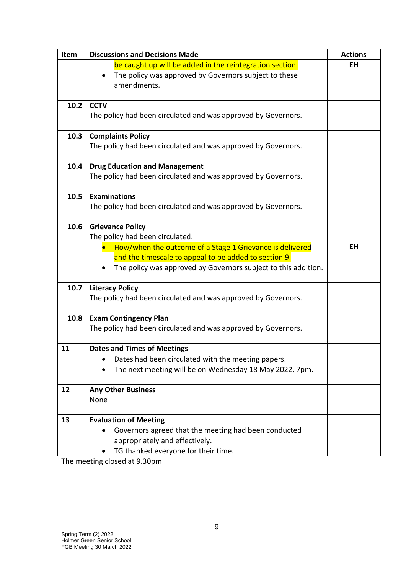| Item | <b>Discussions and Decisions Made</b>                                             | <b>Actions</b> |
|------|-----------------------------------------------------------------------------------|----------------|
|      | be caught up will be added in the reintegration section.                          | <b>EH</b>      |
|      | The policy was approved by Governors subject to these<br>$\bullet$<br>amendments. |                |
| 10.2 | <b>CCTV</b>                                                                       |                |
|      | The policy had been circulated and was approved by Governors.                     |                |
| 10.3 | <b>Complaints Policy</b>                                                          |                |
|      | The policy had been circulated and was approved by Governors.                     |                |
| 10.4 | <b>Drug Education and Management</b>                                              |                |
|      | The policy had been circulated and was approved by Governors.                     |                |
| 10.5 | <b>Examinations</b>                                                               |                |
|      | The policy had been circulated and was approved by Governors.                     |                |
| 10.6 | <b>Grievance Policy</b>                                                           |                |
|      | The policy had been circulated.                                                   |                |
|      | How/when the outcome of a Stage 1 Grievance is delivered                          | <b>EH</b>      |
|      | and the timescale to appeal to be added to section 9.                             |                |
|      | The policy was approved by Governors subject to this addition.                    |                |
| 10.7 | <b>Literacy Policy</b>                                                            |                |
|      | The policy had been circulated and was approved by Governors.                     |                |
| 10.8 | <b>Exam Contingency Plan</b>                                                      |                |
|      | The policy had been circulated and was approved by Governors.                     |                |
| 11   | <b>Dates and Times of Meetings</b>                                                |                |
|      | Dates had been circulated with the meeting papers.                                |                |
|      | The next meeting will be on Wednesday 18 May 2022, 7pm.                           |                |
| 12   | <b>Any Other Business</b>                                                         |                |
|      | None                                                                              |                |
| 13   | <b>Evaluation of Meeting</b>                                                      |                |
|      | Governors agreed that the meeting had been conducted                              |                |
|      | appropriately and effectively.                                                    |                |
|      | TG thanked everyone for their time.                                               |                |

The meeting closed at 9.30pm